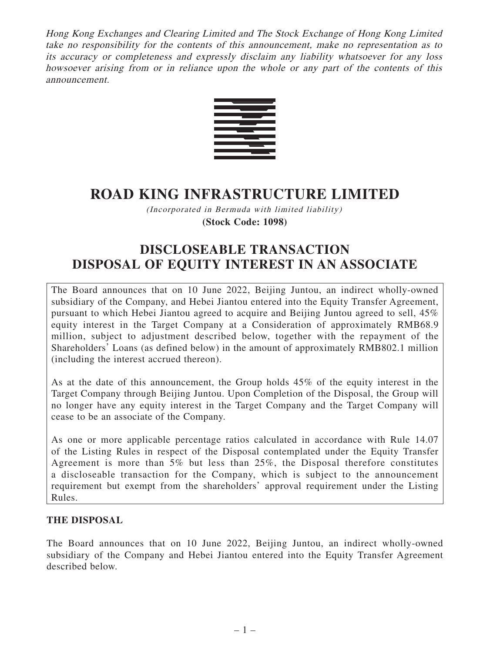Hong Kong Exchanges and Clearing Limited and The Stock Exchange of Hong Kong Limited take no responsibility for the contents of this announcement, make no representation as to its accuracy or completeness and expressly disclaim any liability whatsoever for any loss howsoever arising from or in reliance upon the whole or any part of the contents of this announcement.



# **ROAD KING INFRASTRUCTURE LIMITED**

(Incorporated in Bermuda with limited liability) **(Stock Code: 1098)**

# **DISCLOSEABLE TRANSACTION DISPOSAL OF EQUITY INTEREST IN AN ASSOCIATE**

The Board announces that on 10 June 2022, Beijing Juntou, an indirect wholly-owned subsidiary of the Company, and Hebei Jiantou entered into the Equity Transfer Agreement, pursuant to which Hebei Jiantou agreed to acquire and Beijing Juntou agreed to sell, 45% equity interest in the Target Company at a Consideration of approximately RMB68.9 million, subject to adjustment described below, together with the repayment of the Shareholders' Loans (as defined below) in the amount of approximately RMB802.1 million (including the interest accrued thereon).

As at the date of this announcement, the Group holds 45% of the equity interest in the Target Company through Beijing Juntou. Upon Completion of the Disposal, the Group will no longer have any equity interest in the Target Company and the Target Company will cease to be an associate of the Company.

As one or more applicable percentage ratios calculated in accordance with Rule 14.07 of the Listing Rules in respect of the Disposal contemplated under the Equity Transfer Agreement is more than 5% but less than 25%, the Disposal therefore constitutes a discloseable transaction for the Company, which is subject to the announcement requirement but exempt from the shareholders' approval requirement under the Listing Rules.

## **THE DISPOSAL**

The Board announces that on 10 June 2022, Beijing Juntou, an indirect wholly-owned subsidiary of the Company and Hebei Jiantou entered into the Equity Transfer Agreement described below.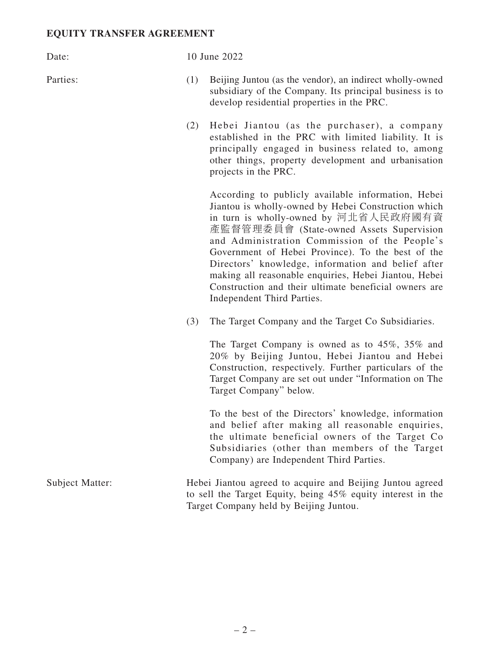#### **EQUITY TRANSFER AGREEMENT**

#### Date: 10 June 2022

- Parties: (1) Beijing Juntou (as the vendor), an indirect wholly-owned subsidiary of the Company. Its principal business is to develop residential properties in the PRC.
	- (2) Hebei Jiantou (as the purchaser), a company established in the PRC with limited liability. It is principally engaged in business related to, among other things, property development and urbanisation projects in the PRC.

According to publicly available information, Hebei Jiantou is wholly-owned by Hebei Construction which in turn is wholly-owned by 河北省人民政府國有資 產監督管理委員會 (State-owned Assets Supervision and Administration Commission of the People's Government of Hebei Province). To the best of the Directors' knowledge, information and belief after making all reasonable enquiries, Hebei Jiantou, Hebei Construction and their ultimate beneficial owners are Independent Third Parties.

(3) The Target Company and the Target Co Subsidiaries.

The Target Company is owned as to 45%, 35% and 20% by Beijing Juntou, Hebei Jiantou and Hebei Construction, respectively. Further particulars of the Target Company are set out under "Information on The Target Company" below.

To the best of the Directors' knowledge, information and belief after making all reasonable enquiries, the ultimate beneficial owners of the Target Co Subsidiaries (other than members of the Target Company) are Independent Third Parties.

Subject Matter: Hebei Jiantou agreed to acquire and Beijing Juntou agreed to sell the Target Equity, being 45% equity interest in the Target Company held by Beijing Juntou.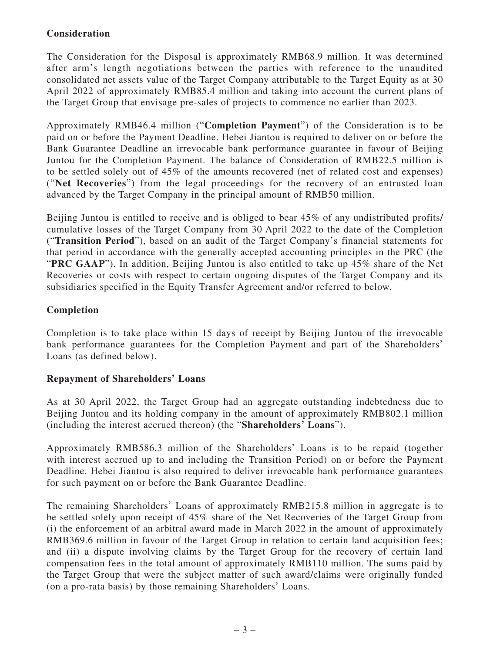# **Consideration**

The Consideration for the Disposal is approximately RMB68.9 million. It was determined after arm's length negotiations between the parties with reference to the unaudited consolidated net assets value of the Target Company attributable to the Target Equity as at 30 April 2022 of approximately RMB85.4 million and taking into account the current plans of the Target Group that envisage pre-sales of projects to commence no earlier than 2023.

Approximately RMB46.4 million ("**Completion Payment**") of the Consideration is to be paid on or before the Payment Deadline. Hebei Jiantou is required to deliver on or before the Bank Guarantee Deadline an irrevocable bank performance guarantee in favour of Beijing Juntou for the Completion Payment. The balance of Consideration of RMB22.5 million is to be settled solely out of 45% of the amounts recovered (net of related cost and expenses) ("**Net Recoveries**") from the legal proceedings for the recovery of an entrusted loan advanced by the Target Company in the principal amount of RMB50 million.

Beijing Juntou is entitled to receive and is obliged to bear 45% of any undistributed profits/ cumulative losses of the Target Company from 30 April 2022 to the date of the Completion ("**Transition Period**"), based on an audit of the Target Company's financial statements for that period in accordance with the generally accepted accounting principles in the PRC (the "**PRC GAAP**"). In addition, Beijing Juntou is also entitled to take up 45% share of the Net Recoveries or costs with respect to certain ongoing disputes of the Target Company and its subsidiaries specified in the Equity Transfer Agreement and/or referred to below.

# **Completion**

Completion is to take place within 15 days of receipt by Beijing Juntou of the irrevocable bank performance guarantees for the Completion Payment and part of the Shareholders' Loans (as defined below).

## **Repayment of Shareholders' Loans**

As at 30 April 2022, the Target Group had an aggregate outstanding indebtedness due to Beijing Juntou and its holding company in the amount of approximately RMB802.1 million (including the interest accrued thereon) (the "**Shareholders' Loans**").

Approximately RMB586.3 million of the Shareholders' Loans is to be repaid (together with interest accrued up to and including the Transition Period) on or before the Payment Deadline. Hebei Jiantou is also required to deliver irrevocable bank performance guarantees for such payment on or before the Bank Guarantee Deadline.

The remaining Shareholders' Loans of approximately RMB215.8 million in aggregate is to be settled solely upon receipt of 45% share of the Net Recoveries of the Target Group from (i) the enforcement of an arbitral award made in March 2022 in the amount of approximately RMB369.6 million in favour of the Target Group in relation to certain land acquisition fees; and (ii) a dispute involving claims by the Target Group for the recovery of certain land compensation fees in the total amount of approximately RMB110 million. The sums paid by the Target Group that were the subject matter of such award/claims were originally funded (on a pro-rata basis) by those remaining Shareholders' Loans.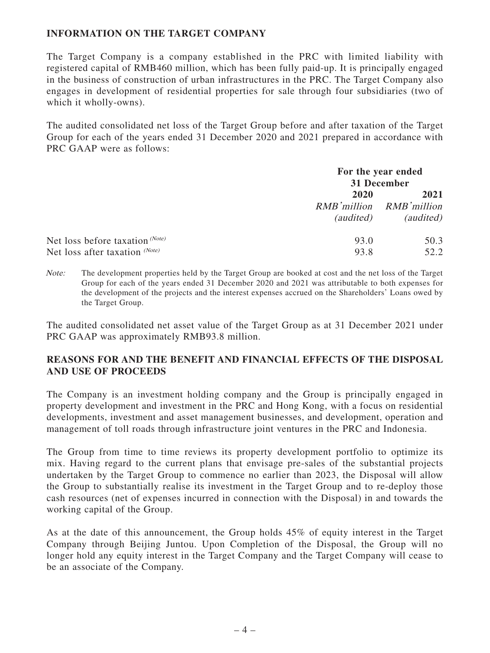## **INFORMATION ON THE TARGET COMPANY**

The Target Company is a company established in the PRC with limited liability with registered capital of RMB460 million, which has been fully paid-up. It is principally engaged in the business of construction of urban infrastructures in the PRC. The Target Company also engages in development of residential properties for sale through four subsidiaries (two of which it wholly-owns).

The audited consolidated net loss of the Target Group before and after taxation of the Target Group for each of the years ended 31 December 2020 and 2021 prepared in accordance with PRC GAAP were as follows:

|                                 | For the year ended<br>31 December |                                              |
|---------------------------------|-----------------------------------|----------------------------------------------|
|                                 | 2020<br><i>(audited)</i>          | 2021<br>RMB'million RMB'million<br>(audited) |
| Net loss before taxation (Note) | 93.0                              | 50.3                                         |
| Net loss after taxation (Note)  | 93.8                              | 52.2                                         |

Note: The development properties held by the Target Group are booked at cost and the net loss of the Target Group for each of the years ended 31 December 2020 and 2021 was attributable to both expenses for the development of the projects and the interest expenses accrued on the Shareholders' Loans owed by the Target Group.

The audited consolidated net asset value of the Target Group as at 31 December 2021 under PRC GAAP was approximately RMB93.8 million.

## **REASONS FOR AND THE BENEFIT AND FINANCIAL EFFECTS OF THE DISPOSAL AND USE OF PROCEEDS**

The Company is an investment holding company and the Group is principally engaged in property development and investment in the PRC and Hong Kong, with a focus on residential developments, investment and asset management businesses, and development, operation and management of toll roads through infrastructure joint ventures in the PRC and Indonesia.

The Group from time to time reviews its property development portfolio to optimize its mix. Having regard to the current plans that envisage pre-sales of the substantial projects undertaken by the Target Group to commence no earlier than 2023, the Disposal will allow the Group to substantially realise its investment in the Target Group and to re-deploy those cash resources (net of expenses incurred in connection with the Disposal) in and towards the working capital of the Group.

As at the date of this announcement, the Group holds 45% of equity interest in the Target Company through Beijing Juntou. Upon Completion of the Disposal, the Group will no longer hold any equity interest in the Target Company and the Target Company will cease to be an associate of the Company.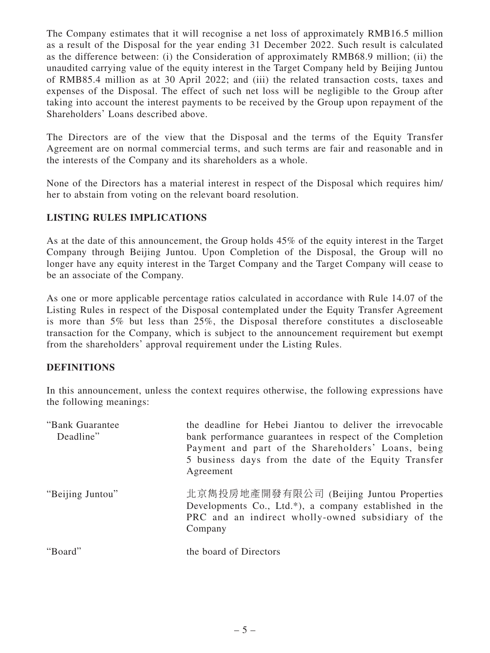The Company estimates that it will recognise a net loss of approximately RMB16.5 million as a result of the Disposal for the year ending 31 December 2022. Such result is calculated as the difference between: (i) the Consideration of approximately RMB68.9 million; (ii) the unaudited carrying value of the equity interest in the Target Company held by Beijing Juntou of RMB85.4 million as at 30 April 2022; and (iii) the related transaction costs, taxes and expenses of the Disposal. The effect of such net loss will be negligible to the Group after taking into account the interest payments to be received by the Group upon repayment of the Shareholders' Loans described above.

The Directors are of the view that the Disposal and the terms of the Equity Transfer Agreement are on normal commercial terms, and such terms are fair and reasonable and in the interests of the Company and its shareholders as a whole.

None of the Directors has a material interest in respect of the Disposal which requires him/ her to abstain from voting on the relevant board resolution.

# **LISTING RULES IMPLICATIONS**

As at the date of this announcement, the Group holds 45% of the equity interest in the Target Company through Beijing Juntou. Upon Completion of the Disposal, the Group will no longer have any equity interest in the Target Company and the Target Company will cease to be an associate of the Company.

As one or more applicable percentage ratios calculated in accordance with Rule 14.07 of the Listing Rules in respect of the Disposal contemplated under the Equity Transfer Agreement is more than 5% but less than 25%, the Disposal therefore constitutes a discloseable transaction for the Company, which is subject to the announcement requirement but exempt from the shareholders' approval requirement under the Listing Rules.

## **DEFINITIONS**

In this announcement, unless the context requires otherwise, the following expressions have the following meanings:

| "Bank Guarantee"<br>Deadline" | the deadline for Hebei Jiantou to deliver the irrevocable<br>bank performance guarantees in respect of the Completion<br>Payment and part of the Shareholders' Loans, being<br>5 business days from the date of the Equity Transfer<br>Agreement |
|-------------------------------|--------------------------------------------------------------------------------------------------------------------------------------------------------------------------------------------------------------------------------------------------|
| "Beijing Juntou"              | 北京雋投房地產開發有限公司 (Beijing Juntou Properties<br>Developments Co., Ltd.*), a company established in the<br>PRC and an indirect wholly-owned subsidiary of the<br>Company                                                                              |
| "Board"                       | the board of Directors                                                                                                                                                                                                                           |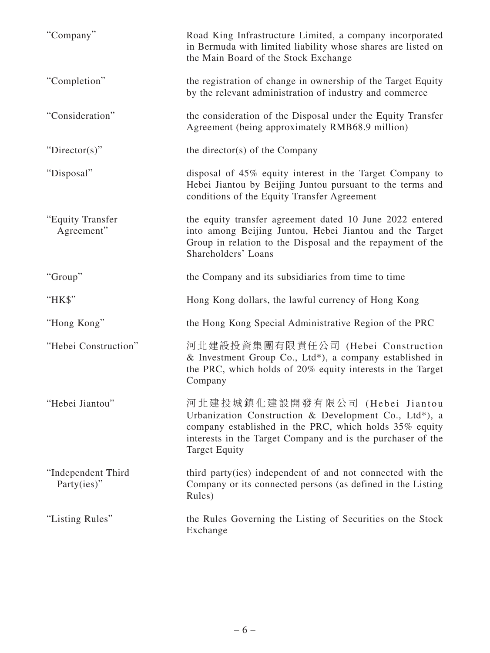| "Company"                             | Road King Infrastructure Limited, a company incorporated<br>in Bermuda with limited liability whose shares are listed on<br>the Main Board of the Stock Exchange                                                                         |
|---------------------------------------|------------------------------------------------------------------------------------------------------------------------------------------------------------------------------------------------------------------------------------------|
| "Completion"                          | the registration of change in ownership of the Target Equity<br>by the relevant administration of industry and commerce                                                                                                                  |
| "Consideration"                       | the consideration of the Disposal under the Equity Transfer<br>Agreement (being approximately RMB68.9 million)                                                                                                                           |
| " $Directory$ "                       | the director(s) of the Company                                                                                                                                                                                                           |
| "Disposal"                            | disposal of 45% equity interest in the Target Company to<br>Hebei Jiantou by Beijing Juntou pursuant to the terms and<br>conditions of the Equity Transfer Agreement                                                                     |
| "Equity Transfer<br>Agreement"        | the equity transfer agreement dated 10 June 2022 entered<br>into among Beijing Juntou, Hebei Jiantou and the Target<br>Group in relation to the Disposal and the repayment of the<br>Shareholders' Loans                                 |
| "Group"                               | the Company and its subsidiaries from time to time                                                                                                                                                                                       |
| "HK\$"                                | Hong Kong dollars, the lawful currency of Hong Kong                                                                                                                                                                                      |
| "Hong Kong"                           | the Hong Kong Special Administrative Region of the PRC                                                                                                                                                                                   |
| "Hebei Construction"                  | 河北建設投資集團有限責任公司 (Hebei Construction<br>& Investment Group Co., Ltd*), a company established in<br>the PRC, which holds of 20% equity interests in the Target<br>Company                                                                   |
| "Hebei Jiantou"                       | 河北建投城鎮化建設開發有限公司 (Hebei Jiantou<br>Urbanization Construction & Development Co., Ltd*), a<br>company established in the PRC, which holds 35% equity<br>interests in the Target Company and is the purchaser of the<br><b>Target Equity</b> |
| "Independent Third<br>Party $(ies)$ " | third party(ies) independent of and not connected with the<br>Company or its connected persons (as defined in the Listing<br>Rules)                                                                                                      |
| "Listing Rules"                       | the Rules Governing the Listing of Securities on the Stock<br>Exchange                                                                                                                                                                   |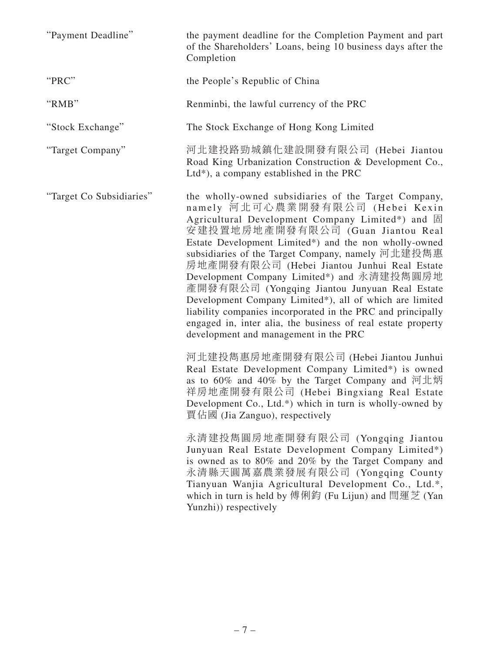| "Payment Deadline"       | the payment deadline for the Completion Payment and part<br>of the Shareholders' Loans, being 10 business days after the<br>Completion                                                                                                                                                                                                                                                                                                                                                                                                                                                                                                                                           |
|--------------------------|----------------------------------------------------------------------------------------------------------------------------------------------------------------------------------------------------------------------------------------------------------------------------------------------------------------------------------------------------------------------------------------------------------------------------------------------------------------------------------------------------------------------------------------------------------------------------------------------------------------------------------------------------------------------------------|
| "PRC"                    | the People's Republic of China                                                                                                                                                                                                                                                                                                                                                                                                                                                                                                                                                                                                                                                   |
| "RMB"                    | Renminbi, the lawful currency of the PRC                                                                                                                                                                                                                                                                                                                                                                                                                                                                                                                                                                                                                                         |
| "Stock Exchange"         | The Stock Exchange of Hong Kong Limited                                                                                                                                                                                                                                                                                                                                                                                                                                                                                                                                                                                                                                          |
| "Target Company"         | 河北建投路勁城鎮化建設開發有限公司 (Hebei Jiantou<br>Road King Urbanization Construction & Development Co.,<br>$Ltd^*$ ), a company established in the PRC                                                                                                                                                                                                                                                                                                                                                                                                                                                                                                                                        |
| "Target Co Subsidiaries" | the wholly-owned subsidiaries of the Target Company,<br>namely 河北可心農業開發有限公司 (Hebei Kexin<br>Agricultural Development Company Limited*) and 固<br>安建投置地房地產開發有限公司 (Guan Jiantou Real<br>Estate Development Limited*) and the non wholly-owned<br>subsidiaries of the Target Company, namely 河北建投雋惠<br>房地產開發有限公司 (Hebei Jiantou Junhui Real Estate<br>Development Company Limited*) and 永清建投雋圓房地<br>產開發有限公司 (Yongqing Jiantou Junyuan Real Estate<br>Development Company Limited*), all of which are limited<br>liability companies incorporated in the PRC and principally<br>engaged in, inter alia, the business of real estate property<br>development and management in the PRC |
|                          | 河北建投雋惠房地產開發有限公司 (Hebei Jiantou Junhui<br>Real Estate Development Company Limited*) is owned<br>as to 60% and 40% by the Target Company and 河北炳<br>祥房地產開發有限公司 (Hebei Bingxiang Real Estate<br>Development Co., Ltd.*) which in turn is wholly-owned by<br>賈佔國 (Jia Zanguo), respectively                                                                                                                                                                                                                                                                                                                                                                                          |
|                          | 永清建投雋圓房地產開發有限公司 (Yongqing Jiantou<br>Junyuan Real Estate Development Company Limited*)<br>is owned as to 80% and 20% by the Target Company and<br>永清縣天圓萬嘉農業發展有限公司 (Yongqing County<br>Tianyuan Wanjia Agricultural Development Co., Ltd.*,<br>which in turn is held by 傅俐鈞 (Fu Lijun) and 閆運芝 (Yan<br>Yunzhi)) respectively                                                                                                                                                                                                                                                                                                                                                      |